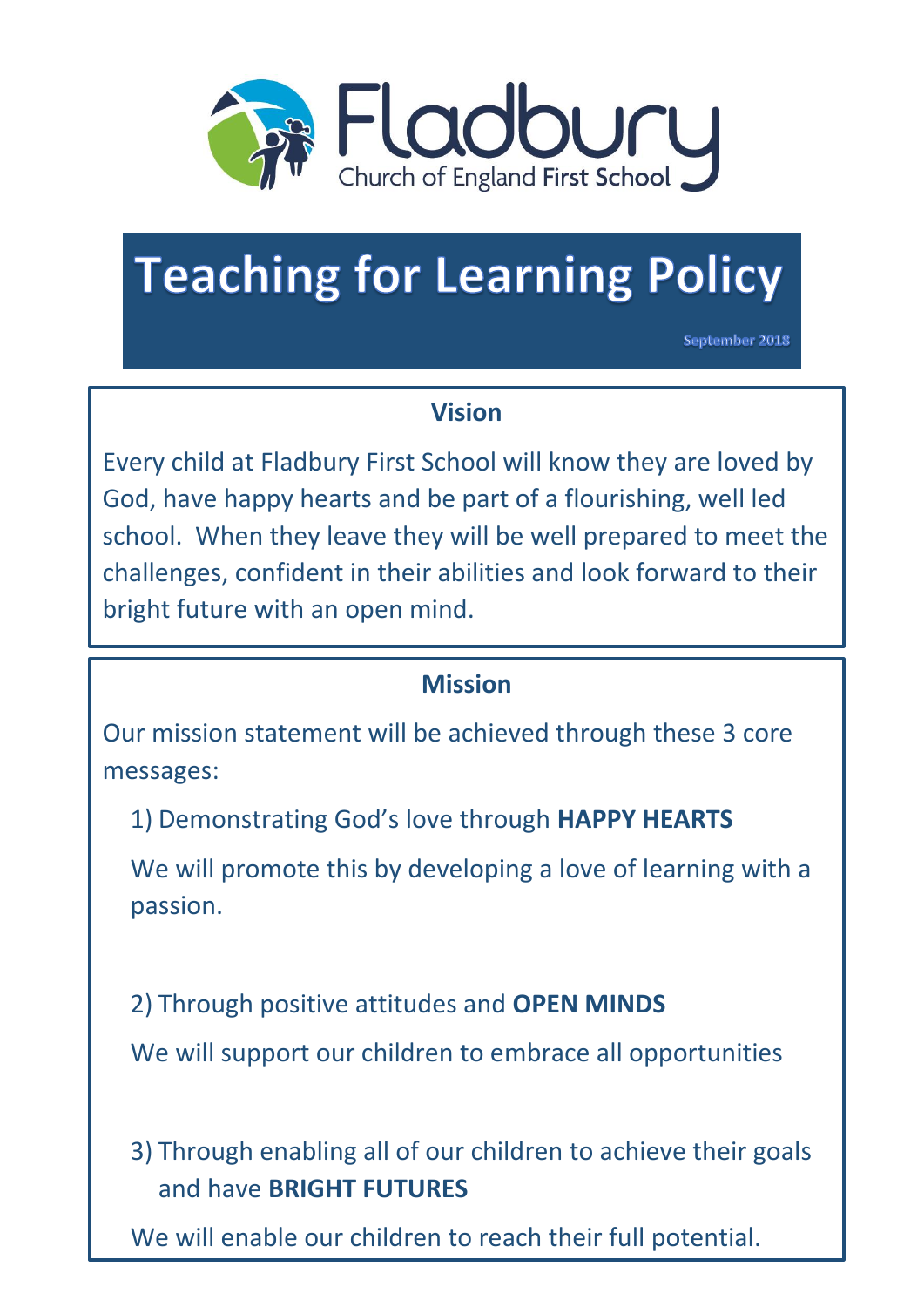

# **Teaching for Learning Policy**

September 2018

#### **Vision**

Every child at Fladbury First School will know they are loved by God, have happy hearts and be part of a flourishing, well led school. When they leave they will be well prepared to meet the challenges, confident in their abilities and look forward to their bright future with an open mind.

### **Mission**

Our mission statement will be achieved through these 3 core messages:

1) Demonstrating God's love through **HAPPY HEARTS**

We will promote this by developing a love of learning with a passion.

2) Through positive attitudes and **OPEN MINDS**

We will support our children to embrace all opportunities

3) Through enabling all of our children to achieve their goals and have **BRIGHT FUTURES**

We will enable our children to reach their full potential.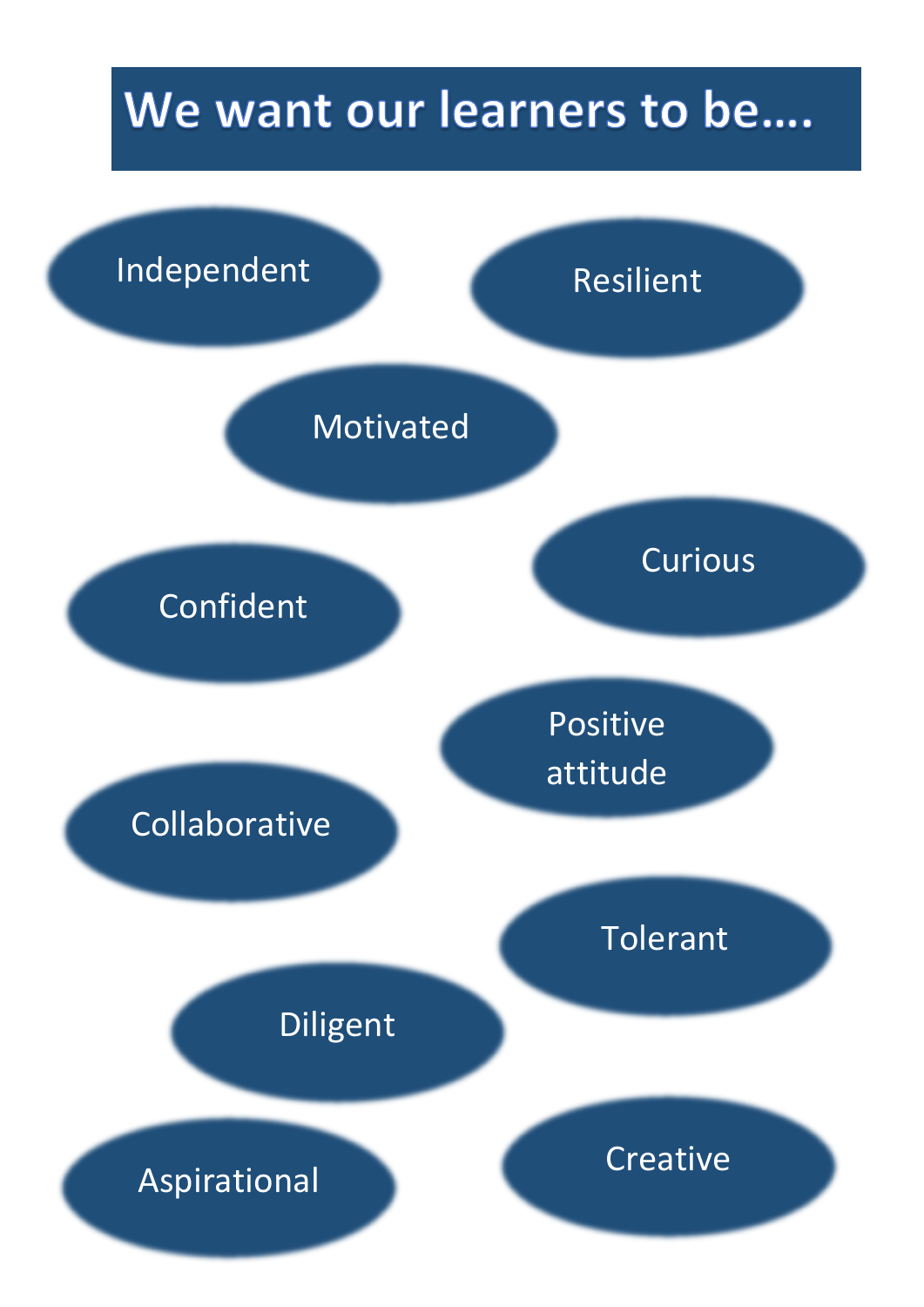## We want our learners to be....

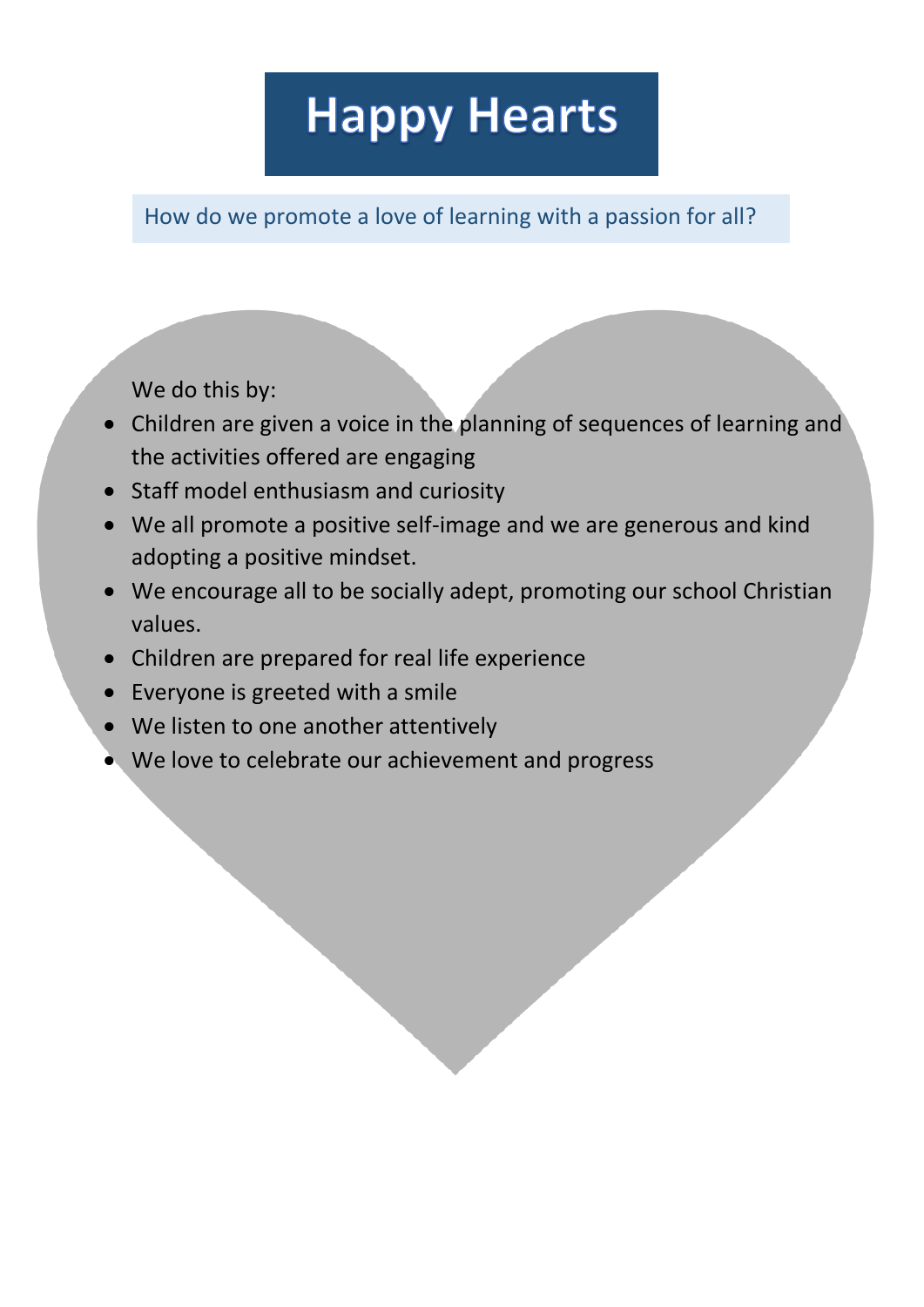## **Happy Hearts**

How do we promote a love of learning with a passion for all?

We do this by:

- Children are given a voice in the planning of sequences of learning and the activities offered are engaging
- Staff model enthusiasm and curiosity
- We all promote a positive self-image and we are generous and kind adopting a positive mindset.
- We encourage all to be socially adept, promoting our school Christian values.
- Children are prepared for real life experience
- Everyone is greeted with a smile
- We listen to one another attentively
- We love to celebrate our achievement and progress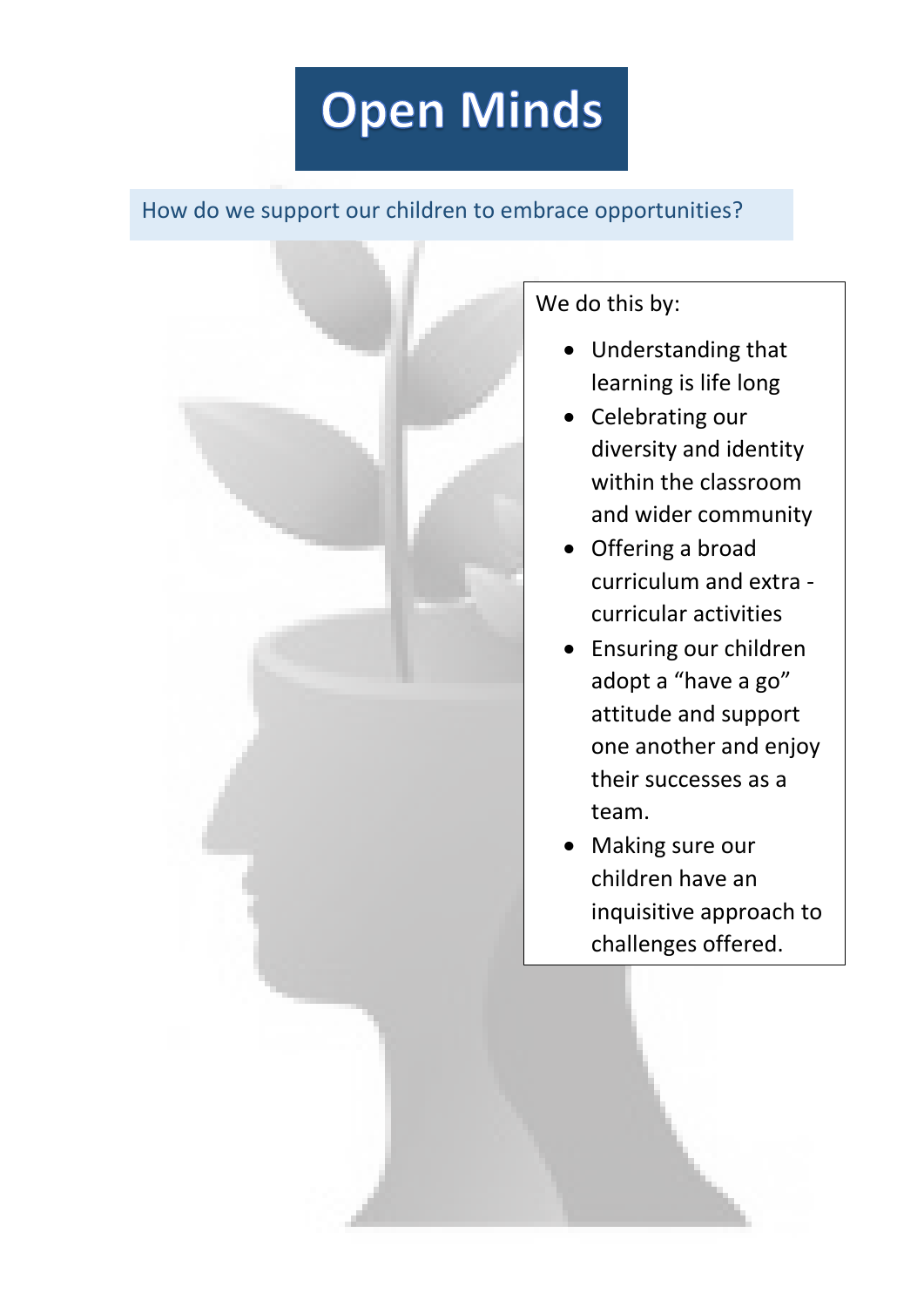# **Open Minds**

#### How do we support our children to embrace opportunities?



We do this by:

- Understanding that learning is life long
- Celebrating our diversity and identity within the classroom and wider community
- Offering a broad curriculum and extra curricular activities
- Ensuring our children adopt a "have a go" attitude and support one another and enjoy their successes as a team.
- Making sure our children have an inquisitive approach to challenges offered.